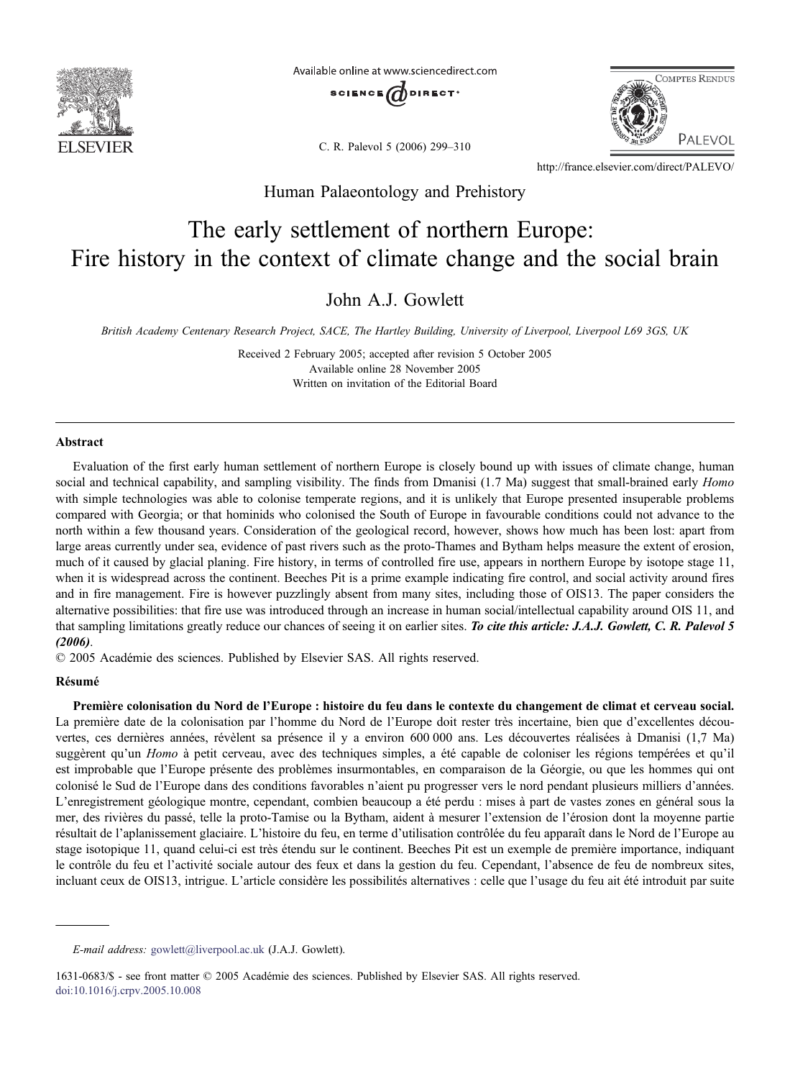

Available online at www.sciencedirect.com



C. R. Palevol 5 (2006) 299–310



http://france.elsevier.com/direct/PALEVO/

# Human Palaeontology and Prehistory

# The early settlement of northern Europe: Fire history in the context of climate change and the social brain

John A.J. Gowlett

British Academy Centenary Research Project, SACE, The Hartley Building, University of Liverpool, Liverpool L69 3GS, UK

Received 2 February 2005; accepted after revision 5 October 2005 Available online 28 November 2005 Written on invitation of the Editorial Board

#### Abstract

Evaluation of the first early human settlement of northern Europe is closely bound up with issues of climate change, human social and technical capability, and sampling visibility. The finds from Dmanisi (1.7 Ma) suggest that small-brained early Homo with simple technologies was able to colonise temperate regions, and it is unlikely that Europe presented insuperable problems compared with Georgia; or that hominids who colonised the South of Europe in favourable conditions could not advance to the north within a few thousand years. Consideration of the geological record, however, shows how much has been lost: apart from large areas currently under sea, evidence of past rivers such as the proto-Thames and Bytham helps measure the extent of erosion, much of it caused by glacial planing. Fire history, in terms of controlled fire use, appears in northern Europe by isotope stage 11, when it is widespread across the continent. Beeches Pit is a prime example indicating fire control, and social activity around fires and in fire management. Fire is however puzzlingly absent from many sites, including those of OIS13. The paper considers the alternative possibilities: that fire use was introduced through an increase in human social/intellectual capability around OIS 11, and that sampling limitations greatly reduce our chances of seeing it on earlier sites. To cite this article: J.A.J. Gowlett, C. R. Palevol 5 (2006).

© 2005 Académie des sciences. Published by Elsevier SAS. All rights reserved.

## Résumé

Première colonisation du Nord de l*'*Europe : histoire du feu dans le contexte du changement de climat et cerveau social. La première date de la colonisation par l'homme du Nord de l'Europe doit rester très incertaine, bien que d'excellentes découvertes, ces dernières années, révèlent sa présence il y a environ 600 000 ans. Les découvertes réalisées à Dmanisi (1,7 Ma) suggèrent qu'un Homo à petit cerveau, avec des techniques simples, a été capable de coloniser les régions tempérées et qu'il est improbable que l'Europe présente des problèmes insurmontables, en comparaison de la Géorgie, ou que les hommes qui ont colonisé le Sud de l'Europe dans des conditions favorables n'aient pu progresser vers le nord pendant plusieurs milliers d'années. L'enregistrement géologique montre, cependant, combien beaucoup a été perdu : mises à part de vastes zones en général sous la mer, des rivières du passé, telle la proto-Tamise ou la Bytham, aident à mesurer l'extension de l'érosion dont la moyenne partie résultait de l'aplanissement glaciaire. L'histoire du feu, en terme d'utilisation contrôlée du feu apparaît dans le Nord de l'Europe au stage isotopique 11, quand celui-ci est très étendu sur le continent. Beeches Pit est un exemple de première importance, indiquant le contrôle du feu et l'activité sociale autour des feux et dans la gestion du feu. Cependant, l'absence de feu de nombreux sites, incluant ceux de OIS13, intrigue. L'article considère les possibilités alternatives : celle que l'usage du feu ait été introduit par suite

1631-0683/\$ - see front matter © 2005 Académie des sciences. Published by Elsevier SAS. All rights reserved. [doi:10.1016/j.crpv.2005.10.008](dx.doi.org/10.1016/j.crpv.2005.10.008)

E-mail address: [gowlett@liverpool.ac.uk](mailto:gowlett@liverpool.ac.uk) (J.A.J. Gowlett).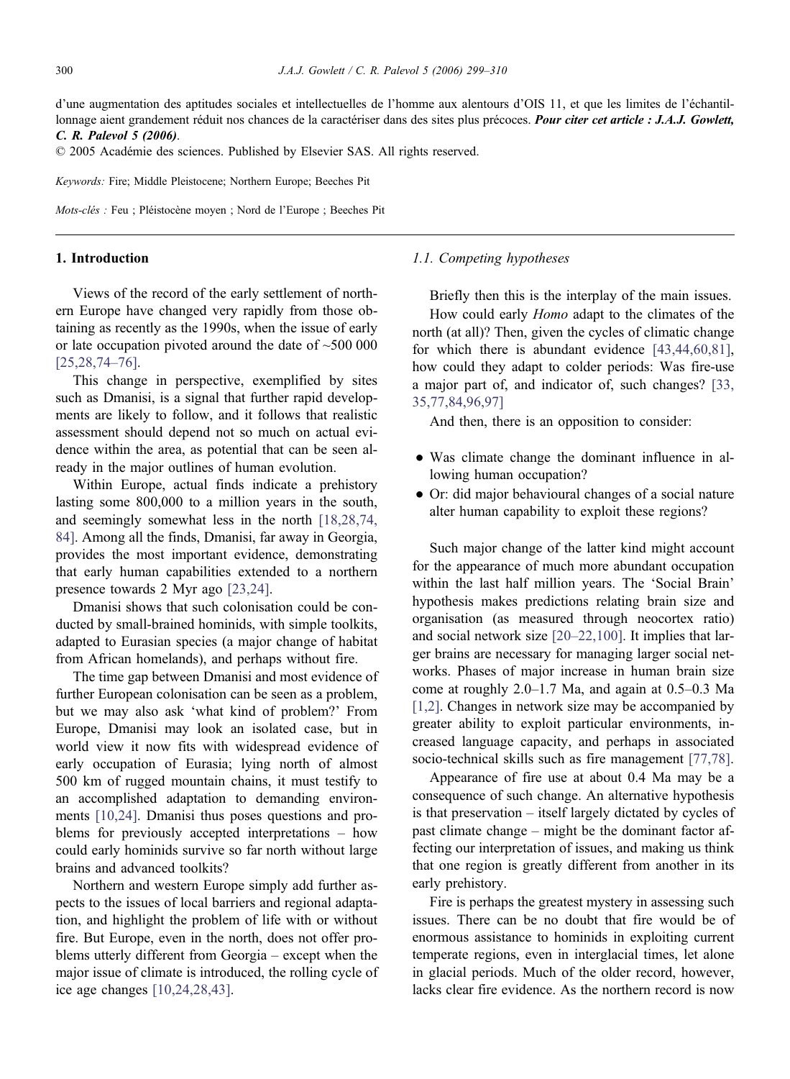d'une augmentation des aptitudes sociales et intellectuelles de l'homme aux alentours d'OIS 11, et que les limites de l'échantillonnage aient grandement réduit nos chances de la caractériser dans des sites plus précoces. Pour citer cet article : J.A.J. Gowlett, C. R. Palevol 5 (2006).

© 2005 Académie des sciences. Published by Elsevier SAS. All rights reserved.

Keywords: Fire; Middle Pleistocene; Northern Europe; Beeches Pit

Mots-clés : Feu ; Pléistocène moyen ; Nord de l'Europe ; Beeches Pit

#### 1. Introduction

Views of the record of the early settlement of northern Europe have changed very rapidly from those obtaining as recently as the 1990s, when the issue of early or late occupation pivoted around the date of ~500 000 [\[25,28,74](#page-9-0)–76].

This change in perspective, exemplified by sites such as Dmanisi, is a signal that further rapid developments are likely to follow, and it follows that realistic assessment should depend not so much on actual evidence within the area, as potential that can be seen already in the major outlines of human evolution.

Within Europe, actual finds indicate a prehistory lasting some 800,000 to a million years in the south, and seemingly somewhat less in the north [\[18,28,74,](#page-9-0) [84\]](#page-9-0). Among all the finds, Dmanisi, far away in Georgia, provides the most important evidence, demonstrating that early human capabilities extended to a northern presence towards 2 Myr ago [\[23,24\].](#page-9-0)

Dmanisi shows that such colonisation could be conducted by small-brained hominids, with simple toolkits, adapted to Eurasian species (a major change of habitat from African homelands), and perhaps without fire.

The time gap between Dmanisi and most evidence of further European colonisation can be seen as a problem, but we may also ask 'what kind of problem?' From Europe, Dmanisi may look an isolated case, but in world view it now fits with widespread evidence of early occupation of Eurasia; lying north of almost 500 km of rugged mountain chains, it must testify to an accomplished adaptation to demanding environments [\[10,24\].](#page-9-0) Dmanisi thus poses questions and problems for previously accepted interpretations – how could early hominids survive so far north without large brains and advanced toolkits?

Northern and western Europe simply add further aspects to the issues of local barriers and regional adaptation, and highlight the problem of life with or without fire. But Europe, even in the north, does not offer problems utterly different from Georgia – except when the major issue of climate is introduced, the rolling cycle of ice age changes [\[10,24,28,43\].](#page-9-0)

## 1.1. Competing hypotheses

Briefly then this is the interplay of the main issues. How could early Homo adapt to the climates of the north (at all)? Then, given the cycles of climatic change for which there is abundant evidence [\[43,44,60,81\]](#page-10-0), how could they adapt to colder periods: Was fire-use a major part of, and indicator of, such changes? [\[33,](#page-9-0) [35,77,84,96,97\]](#page-9-0)

And then, there is an opposition to consider:

- Was climate change the dominant influence in allowing human occupation?
- Or: did major behavioural changes of a social nature alter human capability to exploit these regions?

Such major change of the latter kind might account for the appearance of much more abundant occupation within the last half million years. The 'Social Brain' hypothesis makes predictions relating brain size and organisation (as measured through neocortex ratio) and social network size [20–[22,100\]](#page-9-0). It implies that larger brains are necessary for managing larger social networks. Phases of major increase in human brain size come at roughly 2.0–1.7 Ma, and again at 0.5–0.3 Ma [\[1,2\].](#page-9-0) Changes in network size may be accompanied by greater ability to exploit particular environments, increased language capacity, and perhaps in associated socio-technical skills such as fire management [\[77,78\]](#page-11-0).

Appearance of fire use at about 0.4 Ma may be a consequence of such change. An alternative hypothesis is that preservation – itself largely dictated by cycles of past climate change – might be the dominant factor affecting our interpretation of issues, and making us think that one region is greatly different from another in its early prehistory.

Fire is perhaps the greatest mystery in assessing such issues. There can be no doubt that fire would be of enormous assistance to hominids in exploiting current temperate regions, even in interglacial times, let alone in glacial periods. Much of the older record, however, lacks clear fire evidence. As the northern record is now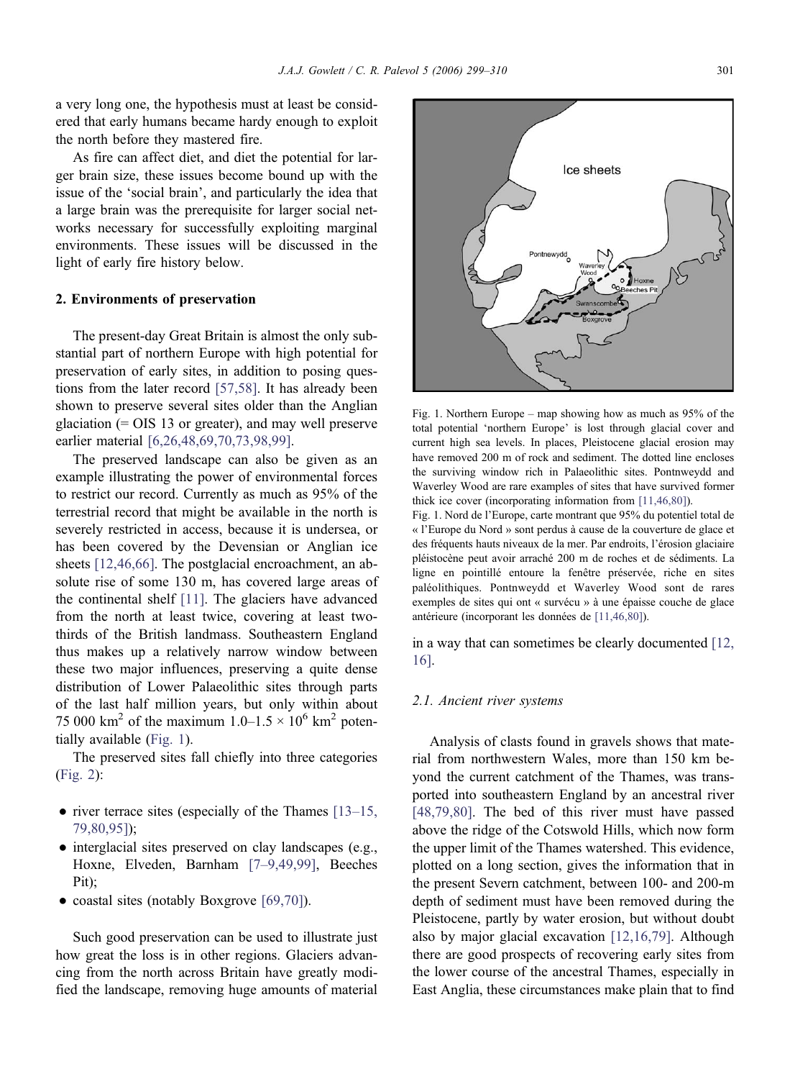a very long one, the hypothesis must at least be considered that early humans became hardy enough to exploit the north before they mastered fire.

As fire can affect diet, and diet the potential for larger brain size, these issues become bound up with the issue of the 'social brain', and particularly the idea that a large brain was the prerequisite for larger social networks necessary for successfully exploiting marginal environments. These issues will be discussed in the light of early fire history below.

# 2. Environments of preservation

The present-day Great Britain is almost the only substantial part of northern Europe with high potential for preservation of early sites, in addition to posing questions from the later record [\[57,58\]](#page-10-0). It has already been shown to preserve several sites older than the Anglian glaciation  $(= OIS 13$  or greater), and may well preserve earlier material [\[6,26,48,69,70,73,98,99\]](#page-9-0).

The preserved landscape can also be given as an example illustrating the power of environmental forces to restrict our record. Currently as much as 95% of the terrestrial record that might be available in the north is severely restricted in access, because it is undersea, or has been covered by the Devensian or Anglian ice sheets [\[12,46,66\]](#page-9-0). The postglacial encroachment, an absolute rise of some 130 m, has covered large areas of the continental shelf [\[11\].](#page-9-0) The glaciers have advanced from the north at least twice, covering at least twothirds of the British landmass. Southeastern England thus makes up a relatively narrow window between these two major influences, preserving a quite dense distribution of Lower Palaeolithic sites through parts of the last half million years, but only within about 75 000 km<sup>2</sup> of the maximum  $1.0-1.5 \times 10^6$  km<sup>2</sup> potentially available (Fig. 1).

The preserved sites fall chiefly into three categories [\(Fig. 2](#page-3-0)):

- river terrace sites (especially of the Thames  $[13-15, 16]$  $[13-15, 16]$ [79,80,95\]](#page-9-0));
- interglacial sites preserved on clay landscapes (e.g., Hoxne, Elveden, Barnham [7–[9,49,99\],](#page-9-0) Beeches Pit);
- coastal sites (notably Boxgrove [\[69,70\]\)](#page-11-0).

Such good preservation can be used to illustrate just how great the loss is in other regions. Glaciers advancing from the north across Britain have greatly modified the landscape, removing huge amounts of material

Fig. 1. Northern Europe – map showing how as much as 95% of the total potential 'northern Europe' is lost through glacial cover and current high sea levels. In places, Pleistocene glacial erosion may have removed 200 m of rock and sediment. The dotted line encloses the surviving window rich in Palaeolithic sites. Pontnweydd and Waverley Wood are rare examples of sites that have survived former thick ice cover (incorporating information from [\[11,46,80\]](#page-9-0)).

Fig. 1. Nord de l'Europe, carte montrant que 95% du potentiel total de « l'Europe du Nord » sont perdus à cause de la couverture de glace et des fréquents hauts niveaux de la mer. Par endroits, l'érosion glaciaire pléistocène peut avoir arraché 200 m de roches et de sédiments. La ligne en pointillé entoure la fenêtre préservée, riche en sites paléolithiques. Pontnweydd et Waverley Wood sont de rares exemples de sites qui ont « survécu » à une épaisse couche de glace antérieure (incorporant les données de [\[11,46,80\]\)](#page-9-0).

in a way that can sometimes be clearly documented [\[12,](#page-9-0) [16\]](#page-9-0).

#### 2.1. Ancient river systems

Analysis of clasts found in gravels shows that material from northwestern Wales, more than 150 km beyond the current catchment of the Thames, was transported into southeastern England by an ancestral river [\[48,79,80\]](#page-10-0). The bed of this river must have passed above the ridge of the Cotswold Hills, which now form the upper limit of the Thames watershed. This evidence, plotted on a long section, gives the information that in the present Severn catchment, between 100- and 200-m depth of sediment must have been removed during the Pleistocene, partly by water erosion, but without doubt also by major glacial excavation [\[12,16,79\]](#page-9-0). Although there are good prospects of recovering early sites from the lower course of the ancestral Thames, especially in East Anglia, these circumstances make plain that to find

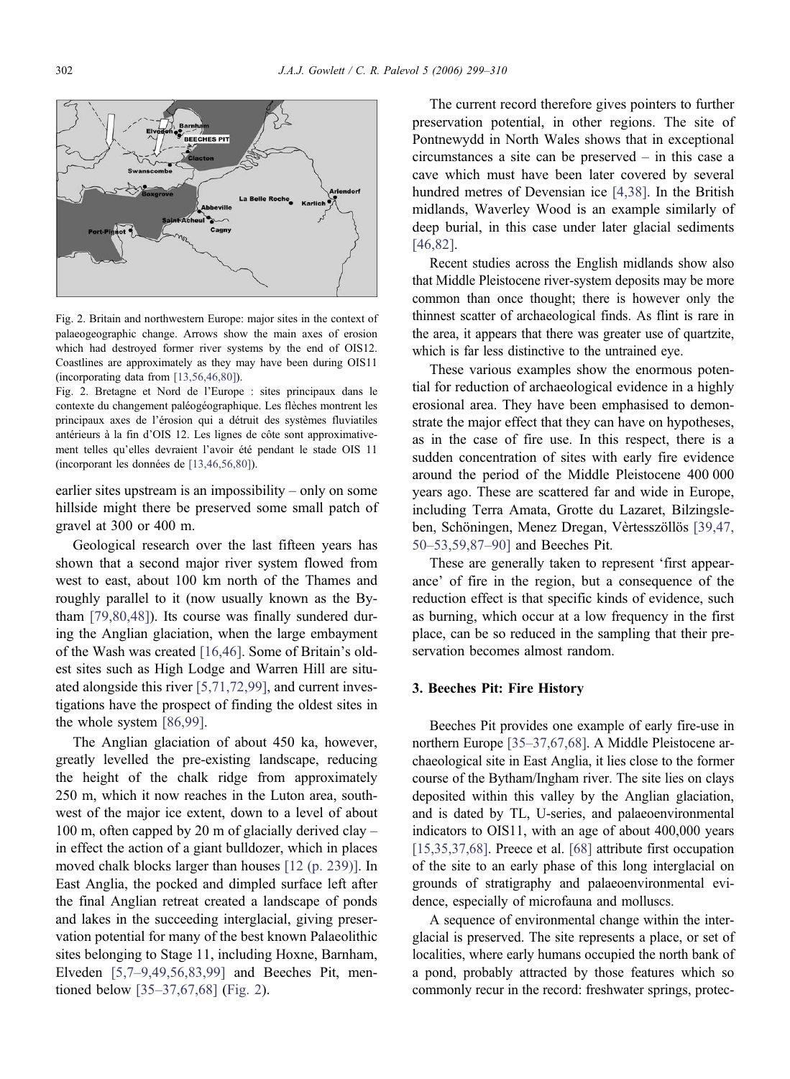<span id="page-3-0"></span>

Fig. 2. Britain and northwestern Europe: major sites in the context of palaeogeographic change. Arrows show the main axes of erosion which had destroyed former river systems by the end of OIS12. Coastlines are approximately as they may have been during OIS11 (incorporating data from [\[13,56,46,80\]\)](#page-9-0).

Fig. 2. Bretagne et Nord de l'Europe : sites principaux dans le contexte du changement paléogéographique. Les flèches montrent les principaux axes de l'érosion qui a détruit des systèmes fluviatiles antérieurs à la fin d'OIS 12. Les lignes de côte sont approximativement telles qu'elles devraient l'avoir été pendant le stade OIS 11 (incorporant les données de [\[13,46,56,80\]](#page-9-0)).

earlier sites upstream is an impossibility – only on some hillside might there be preserved some small patch of gravel at 300 or 400 m.

Geological research over the last fifteen years has shown that a second major river system flowed from west to east, about 100 km north of the Thames and roughly parallel to it (now usually known as the Bytham [\[79,80,48\]](#page-11-0)). Its course was finally sundered during the Anglian glaciation, when the large embayment of the Wash was created [\[16,46\]](#page-9-0). Some of Britain's oldest sites such as High Lodge and Warren Hill are situated alongside this river [\[5,71,72,99\],](#page-9-0) and current investigations have the prospect of finding the oldest sites in the whole system [\[86,99\].](#page-11-0)

The Anglian glaciation of about 450 ka, however, greatly levelled the pre-existing landscape, reducing the height of the chalk ridge from approximately 250 m, which it now reaches in the Luton area, southwest of the major ice extent, down to a level of about 100 m, often capped by 20 m of glacially derived clay – in effect the action of a giant bulldozer, which in places moved chalk blocks larger than houses [\[12 \(p. 239\)\].](#page-9-0) In East Anglia, the pocked and dimpled surface left after the final Anglian retreat created a landscape of ponds and lakes in the succeeding interglacial, giving preservation potential for many of the best known Palaeolithic sites belonging to Stage 11, including Hoxne, Barnham, Elveden [5,7–[9,49,56,83,99\]](#page-9-0) and Beeches Pit, mentioned below [35–[37,67,68\]](#page-10-0) (Fig. 2).

The current record therefore gives pointers to further preservation potential, in other regions. The site of Pontnewydd in North Wales shows that in exceptional circumstances a site can be preserved – in this case a cave which must have been later covered by several hundred metres of Devensian ice [\[4,38\].](#page-9-0) In the British midlands, Waverley Wood is an example similarly of deep burial, in this case under later glacial sediments [\[46,82\].](#page-10-0)

Recent studies across the English midlands show also that Middle Pleistocene river-system deposits may be more common than once thought; there is however only the thinnest scatter of archaeological finds. As flint is rare in the area, it appears that there was greater use of quartzite, which is far less distinctive to the untrained eye.

These various examples show the enormous potential for reduction of archaeological evidence in a highly erosional area. They have been emphasised to demonstrate the major effect that they can have on hypotheses, as in the case of fire use. In this respect, there is a sudden concentration of sites with early fire evidence around the period of the Middle Pleistocene 400 000 years ago. These are scattered far and wide in Europe, including Terra Amata, Grotte du Lazaret, Bilzingsleben, Schöningen, Menez Dregan, Vèrtesszöllös [\[39,47,](#page-10-0) 50–[53,59,87](#page-10-0)–90] and Beeches Pit.

These are generally taken to represent 'first appearance' of fire in the region, but a consequence of the reduction effect is that specific kinds of evidence, such as burning, which occur at a low frequency in the first place, can be so reduced in the sampling that their preservation becomes almost random.

# 3. Beeches Pit: Fire History

Beeches Pit provides one example of early fire-use in northern Europe [35–[37,67,68\]](#page-10-0). A Middle Pleistocene archaeological site in East Anglia, it lies close to the former course of the Bytham/Ingham river. The site lies on clays deposited within this valley by the Anglian glaciation, and is dated by TL, U-series, and palaeoenvironmental indicators to OIS11, with an age of about 400,000 years [\[15,35,37,68\]](#page-9-0). Preece et al. [\[68\]](#page-11-0) attribute first occupation of the site to an early phase of this long interglacial on grounds of stratigraphy and palaeoenvironmental evidence, especially of microfauna and molluscs.

A sequence of environmental change within the interglacial is preserved. The site represents a place, or set of localities, where early humans occupied the north bank of a pond, probably attracted by those features which so commonly recur in the record: freshwater springs, protec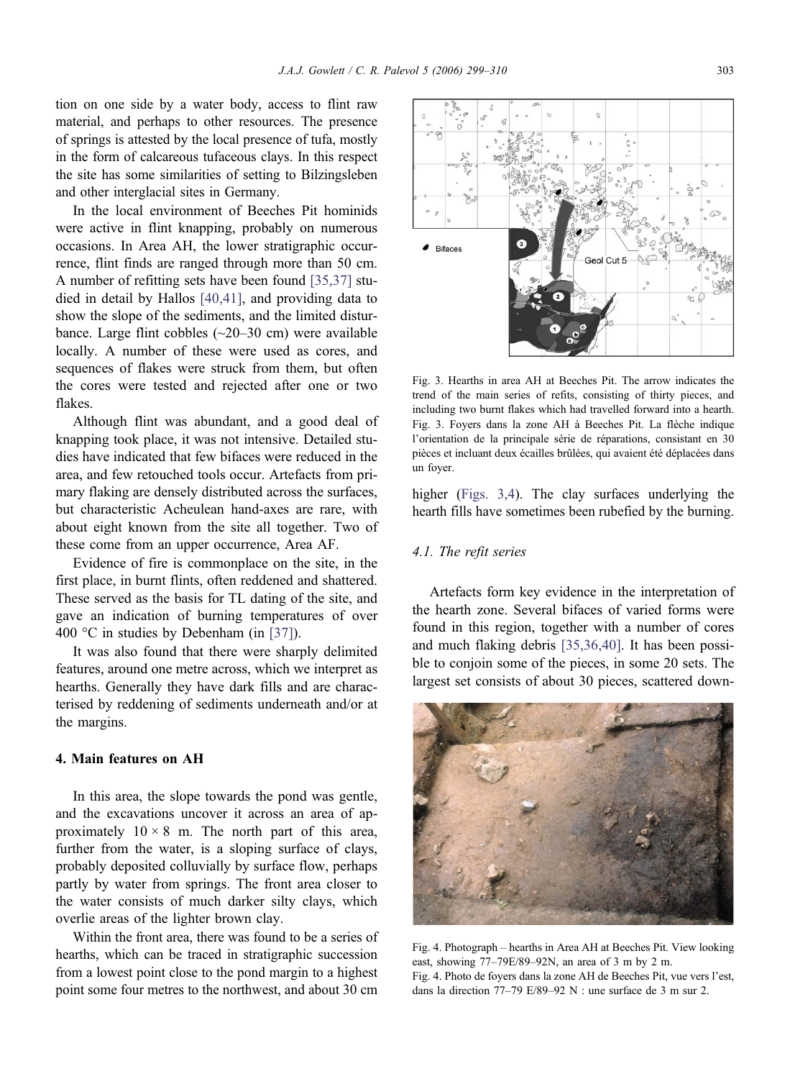<span id="page-4-0"></span>tion on one side by a water body, access to flint raw material, and perhaps to other resources. The presence of springs is attested by the local presence of tufa, mostly in the form of calcareous tufaceous clays. In this respect the site has some similarities of setting to Bilzingsleben and other interglacial sites in Germany.

In the local environment of Beeches Pit hominids were active in flint knapping, probably on numerous occasions. In Area AH, the lower stratigraphic occurrence, flint finds are ranged through more than 50 cm. A number of refitting sets have been found [\[35,37\]](#page-10-0) studied in detail by Hallos [\[40,41\],](#page-10-0) and providing data to show the slope of the sediments, and the limited disturbance. Large flint cobbles  $(\sim 20-30$  cm) were available locally. A number of these were used as cores, and sequences of flakes were struck from them, but often the cores were tested and rejected after one or two flakes.

Although flint was abundant, and a good deal of knapping took place, it was not intensive. Detailed studies have indicated that few bifaces were reduced in the area, and few retouched tools occur. Artefacts from primary flaking are densely distributed across the surfaces, but characteristic Acheulean hand-axes are rare, with about eight known from the site all together. Two of these come from an upper occurrence, Area AF.

Evidence of fire is commonplace on the site, in the first place, in burnt flints, often reddened and shattered. These served as the basis for TL dating of the site, and gave an indication of burning temperatures of over 400 °C in studies by Debenham (in [\[37\]\)](#page-10-0).

It was also found that there were sharply delimited features, around one metre across, which we interpret as hearths. Generally they have dark fills and are characterised by reddening of sediments underneath and/or at the margins.

#### 4. Main features on AH

In this area, the slope towards the pond was gentle, and the excavations uncover it across an area of approximately  $10 \times 8$  m. The north part of this area, further from the water, is a sloping surface of clays, probably deposited colluvially by surface flow, perhaps partly by water from springs. The front area closer to the water consists of much darker silty clays, which overlie areas of the lighter brown clay.

Within the front area, there was found to be a series of hearths, which can be traced in stratigraphic succession from a lowest point close to the pond margin to a highest point some four metres to the northwest, and about 30 cm



Fig. 3. Hearths in area AH at Beeches Pit. The arrow indicates the trend of the main series of refits, consisting of thirty pieces, and including two burnt flakes which had travelled forward into a hearth. Fig. 3. Foyers dans la zone AH à Beeches Pit. La flèche indique l'orientation de la principale série de réparations, consistant en 30 pièces et incluant deux écailles brûlées, qui avaient été déplacées dans un foyer.

higher (Figs. 3,4). The clay surfaces underlying the hearth fills have sometimes been rubefied by the burning.

# 4.1. The refit series

Artefacts form key evidence in the interpretation of the hearth zone. Several bifaces of varied forms were found in this region, together with a number of cores and much flaking debris [\[35,36,40\].](#page-10-0) It has been possible to conjoin some of the pieces, in some 20 sets. The largest set consists of about 30 pieces, scattered down-



Fig. 4. Photograph – hearths in Area AH at Beeches Pit. View looking east, showing 77–79E/89–92N, an area of 3 m by 2 m. Fig. 4. Photo de foyers dans la zone AH de Beeches Pit, vue vers l'est, dans la direction 77–79 E/89–92 N : une surface de 3 m sur 2.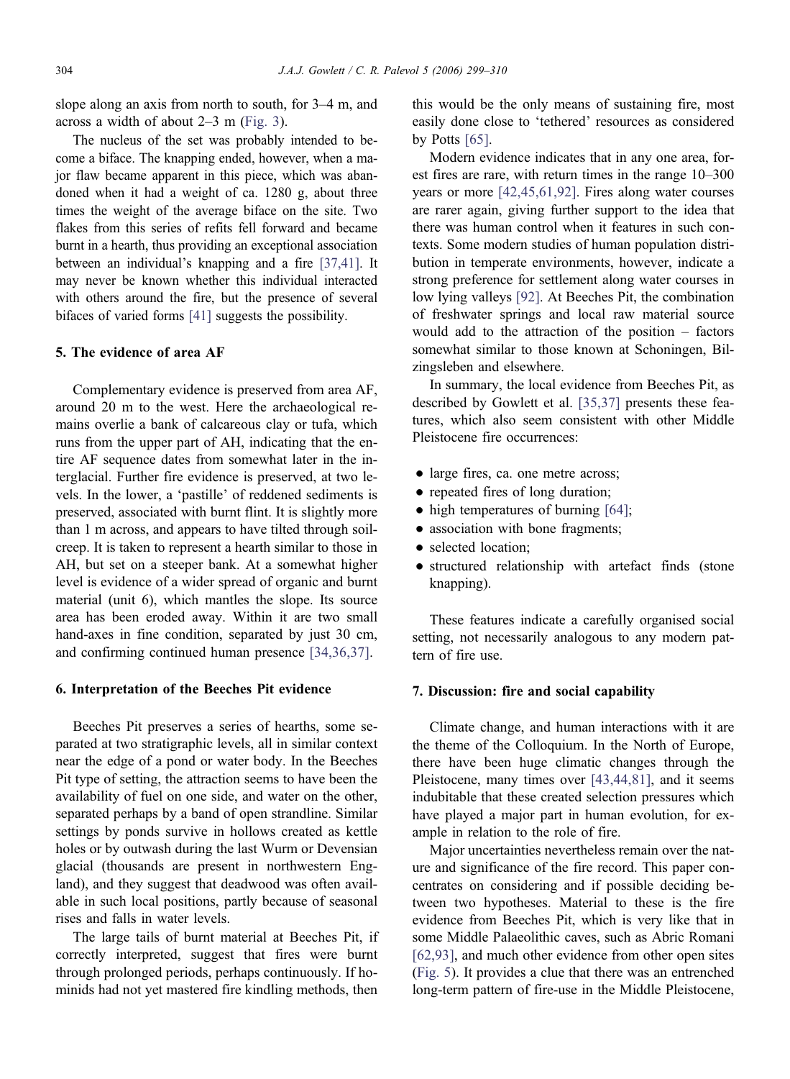slope along an axis from north to south, for 3–4 m, and across a width of about 2–3m([Fig. 3\)](#page-4-0).

The nucleus of the set was probably intended to become a biface. The knapping ended, however, when a major flaw became apparent in this piece, which was abandoned when it had a weight of ca. 1280 g, about three times the weight of the average biface on the site. Two flakes from this series of refits fell forward and became burnt in a hearth, thus providing an exceptional association between an individual's knapping and a fire [\[37,41\].](#page-10-0) It may never be known whether this individual interacted with others around the fire, but the presence of several bifaces of varied forms [\[41\]](#page-10-0) suggests the possibility.

# 5. The evidence of area AF

Complementary evidence is preserved from area AF, around 20 m to the west. Here the archaeological remains overlie a bank of calcareous clay or tufa, which runs from the upper part of AH, indicating that the entire AF sequence dates from somewhat later in the interglacial. Further fire evidence is preserved, at two levels. In the lower, a 'pastille' of reddened sediments is preserved, associated with burnt flint. It is slightly more than 1 m across, and appears to have tilted through soilcreep. It is taken to represent a hearth similar to those in AH, but set on a steeper bank. At a somewhat higher level is evidence of a wider spread of organic and burnt material (unit 6), which mantles the slope. Its source area has been eroded away. Within it are two small hand-axes in fine condition, separated by just 30 cm, and confirming continued human presence [\[34,36,37\].](#page-9-0)

# 6. Interpretation of the Beeches Pit evidence

Beeches Pit preserves a series of hearths, some separated at two stratigraphic levels, all in similar context near the edge of a pond or water body. In the Beeches Pit type of setting, the attraction seems to have been the availability of fuel on one side, and water on the other, separated perhaps by a band of open strandline. Similar settings by ponds survive in hollows created as kettle holes or by outwash during the last Wurm or Devensian glacial (thousands are present in northwestern England), and they suggest that deadwood was often available in such local positions, partly because of seasonal rises and falls in water levels.

The large tails of burnt material at Beeches Pit, if correctly interpreted, suggest that fires were burnt through prolonged periods, perhaps continuously. If hominids had not yet mastered fire kindling methods, then

this would be the only means of sustaining fire, most easily done close to 'tethered' resources as considered by Potts [\[65\].](#page-11-0)

Modern evidence indicates that in any one area, forest fires are rare, with return times in the range 10–300 years or more [\[42,45,61,92\]](#page-10-0). Fires along water courses are rarer again, giving further support to the idea that there was human control when it features in such contexts. Some modern studies of human population distribution in temperate environments, however, indicate a strong preference for settlement along water courses in low lying valleys [\[92\].](#page-11-0) At Beeches Pit, the combination of freshwater springs and local raw material source would add to the attraction of the position – factors somewhat similar to those known at Schoningen, Bilzingsleben and elsewhere.

In summary, the local evidence from Beeches Pit, as described by Gowlett et al. [\[35,37\]](#page-10-0) presents these features, which also seem consistent with other Middle Pleistocene fire occurrences:

- large fires, ca. one metre across;
- repeated fires of long duration;
- high temperatures of burning [\[64\]](#page-10-0);
- association with bone fragments;
- selected location:
- structured relationship with artefact finds (stone knapping).

These features indicate a carefully organised social setting, not necessarily analogous to any modern pattern of fire use.

# 7. Discussion: fire and social capability

Climate change, and human interactions with it are the theme of the Colloquium. In the North of Europe, there have been huge climatic changes through the Pleistocene, many times over [\[43,44,81\]](#page-10-0), and it seems indubitable that these created selection pressures which have played a major part in human evolution, for example in relation to the role of fire.

Major uncertainties nevertheless remain over the nature and significance of the fire record. This paper concentrates on considering and if possible deciding between two hypotheses. Material to these is the fire evidence from Beeches Pit, which is very like that in some Middle Palaeolithic caves, such as Abric Romani [\[62,93\],](#page-10-0) and much other evidence from other open sites] [\(Fig. 5\)](#page-6-0). It provides a clue that there was an entrenched long-term pattern of fire-use in the Middle Pleistocene,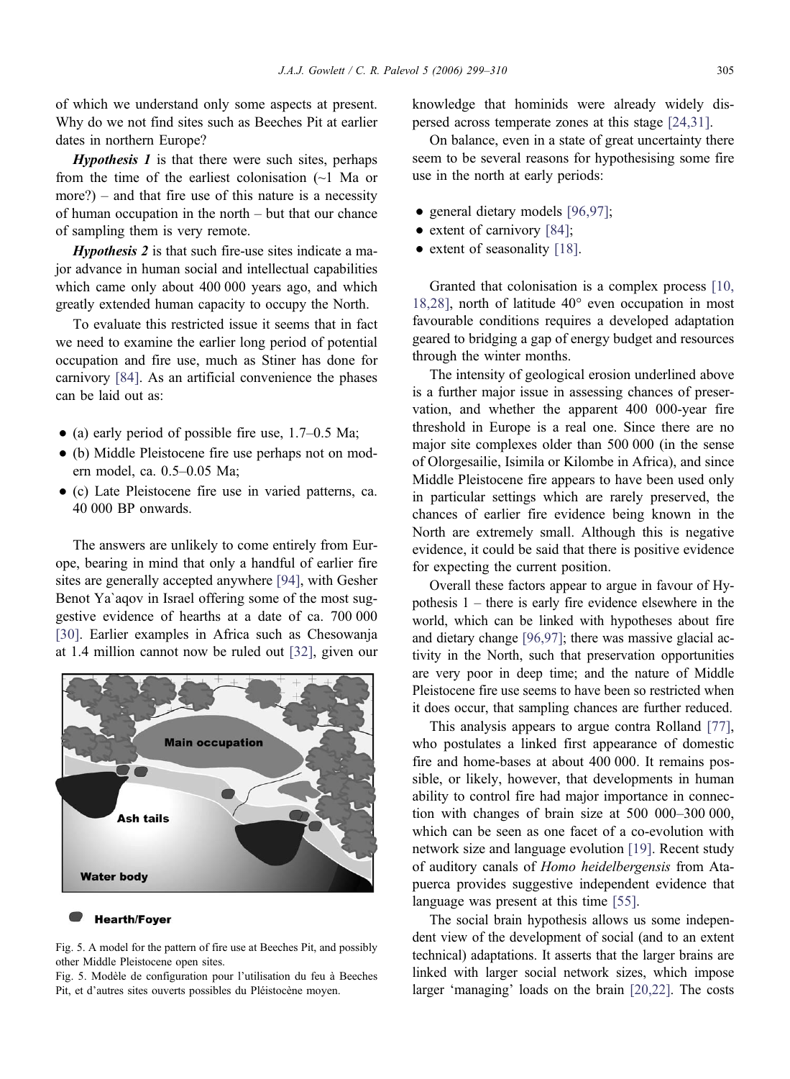<span id="page-6-0"></span>of which we understand only some aspects at present. Why do we not find sites such as Beeches Pit at earlier dates in northern Europe?

*Hypothesis 1* is that there were such sites, perhaps from the time of the earliest colonisation (~1 Ma or more?) – and that fire use of this nature is a necessity of human occupation in the north – but that our chance of sampling them is very remote.

Hypothesis 2 is that such fire-use sites indicate a major advance in human social and intellectual capabilities which came only about 400 000 years ago, and which greatly extended human capacity to occupy the North.

To evaluate this restricted issue it seems that in fact we need to examine the earlier long period of potential occupation and fire use, much as Stiner has done for carnivory [\[84\].](#page-11-0) As an artificial convenience the phases can be laid out as:

- $\bullet$  (a) early period of possible fire use, 1.7–0.5 Ma;
- (b) Middle Pleistocene fire use perhaps not on modern model, ca. 0.5–0.05 Ma;
- (c) Late Pleistocene fire use in varied patterns, ca. 40 000 BP onwards.

The answers are unlikely to come entirely from Europe, bearing in mind that only a handful of earlier fire sites are generally accepted anywhere [\[94\],](#page-11-0) with Gesher Benot Ya`aqov in Israel offering some of the most suggestive evidence of hearths at a date of ca. 700 000 [\[30\].](#page-9-0) Earlier examples in Africa such as Chesowanja at 1.4 million cannot now be ruled out [\[32\],](#page-9-0) given our



#### **Hearth/Foyer**

Fig. 5. A model for the pattern of fire use at Beeches Pit, and possibly other Middle Pleistocene open sites.

Fig. 5. Modèle de configuration pour l'utilisation du feu à Beeches Pit, et d'autres sites ouverts possibles du Pléistocène moyen.

knowledge that hominids were already widely dispersed across temperate zones at this stage [\[24,31\]](#page-9-0).

On balance, even in a state of great uncertainty there seem to be several reasons for hypothesising some fire use in the north at early periods:

- general dietary models [\[96,97\];](#page-11-0)
- extent of carnivory [\[84\]](#page-11-0);
- extent of seasonality [\[18\]](#page-9-0).

Granted that colonisation is a complex process [\[10,](#page-9-0) [18,28\],](#page-9-0) north of latitude 40° even occupation in most favourable conditions requires a developed adaptation geared to bridging a gap of energy budget and resources through the winter months.

The intensity of geological erosion underlined above is a further major issue in assessing chances of preservation, and whether the apparent 400 000-year fire threshold in Europe is a real one. Since there are no major site complexes older than 500 000 (in the sense of Olorgesailie, Isimila or Kilombe in Africa), and since Middle Pleistocene fire appears to have been used only in particular settings which are rarely preserved, the chances of earlier fire evidence being known in the North are extremely small. Although this is negative evidence, it could be said that there is positive evidence for expecting the current position.

Overall these factors appear to argue in favour of Hypothesis 1 – there is early fire evidence elsewhere in the world, which can be linked with hypotheses about fire and dietary change [\[96,97\];](#page-11-0) there was massive glacial activity in the North, such that preservation opportunities are very poor in deep time; and the nature of Middle Pleistocene fire use seems to have been so restricted when it does occur, that sampling chances are further reduced.

This analysis appears to argue contra Rolland [\[77\]](#page-11-0), who postulates a linked first appearance of domestic fire and home-bases at about 400 000. It remains possible, or likely, however, that developments in human ability to control fire had major importance in connection with changes of brain size at 500 000–300 000, which can be seen as one facet of a co-evolution with network size and language evolution [\[19\]](#page-9-0). Recent study of auditory canals of Homo heidelbergensis from Atapuerca provides suggestive independent evidence that language was present at this time [\[55\]](#page-10-0).

The social brain hypothesis allows us some independent view of the development of social (and to an extent technical) adaptations. It asserts that the larger brains are linked with larger social network sizes, which impose larger 'managing' loads on the brain [\[20,22\].](#page-9-0) The costs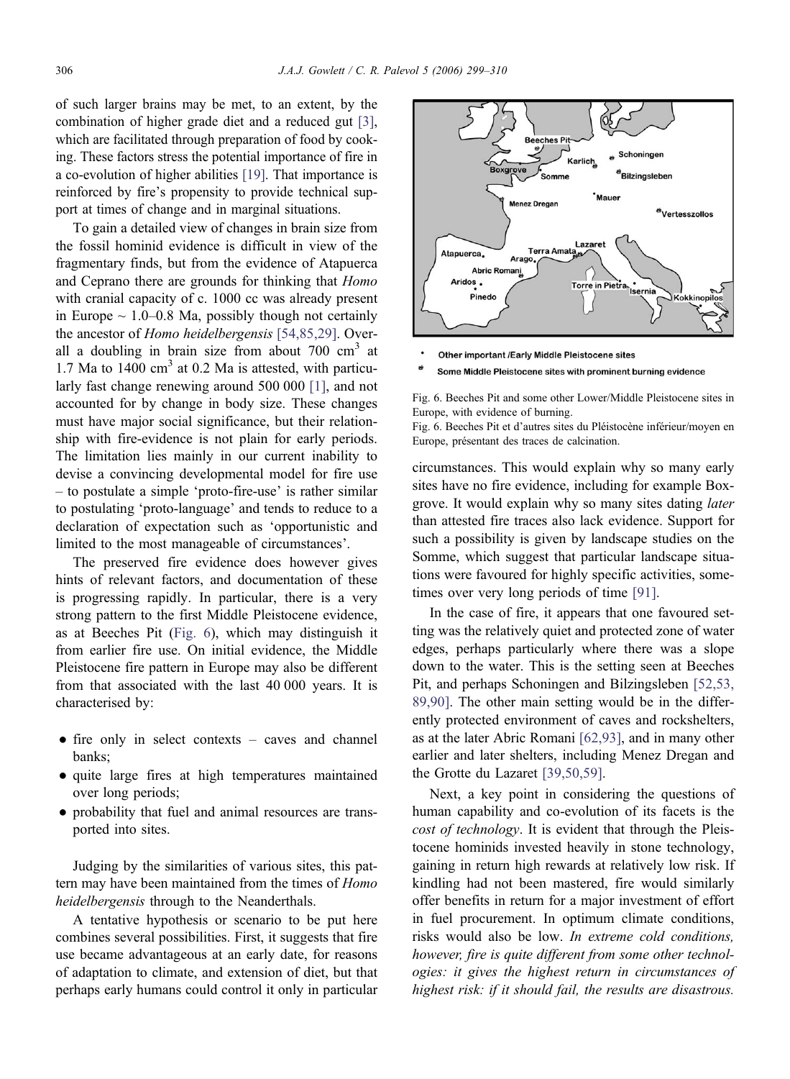of such larger brains may be met, to an extent, by the combination of higher grade diet and a reduced gut [\[3\],](#page-9-0) which are facilitated through preparation of food by cooking. These factors stress the potential importance of fire in a co-evolution of higher abilities [\[19\].](#page-9-0) That importance is reinforced by fire's propensity to provide technical support at times of change and in marginal situations.

To gain a detailed view of changes in brain size from the fossil hominid evidence is difficult in view of the fragmentary finds, but from the evidence of Atapuerca and Ceprano there are grounds for thinking that Homo with cranial capacity of c. 1000 cc was already present in Europe  $\sim$  1.0–0.8 Ma, possibly though not certainly the ancestor of Homo heidelbergensis [\[54,85,29\]](#page-10-0). Overall a doubling in brain size from about  $700 \text{ cm}^3$  at 1.7 Ma to  $1400 \text{ cm}^3$  at 0.2 Ma is attested, with particularly fast change renewing around 500 000 [\[1\],](#page-9-0) and not accounted for by change in body size. These changes must have major social significance, but their relationship with fire-evidence is not plain for early periods. The limitation lies mainly in our current inability to devise a convincing developmental model for fire use – to postulate a simple 'proto-fire-use' is rather similar to postulating 'proto-language' and tends to reduce to a declaration of expectation such as 'opportunistic and limited to the most manageable of circumstances'.

The preserved fire evidence does however gives hints of relevant factors, and documentation of these is progressing rapidly. In particular, there is a very strong pattern to the first Middle Pleistocene evidence, as at Beeches Pit (Fig. 6), which may distinguish it from earlier fire use. On initial evidence, the Middle Pleistocene fire pattern in Europe may also be different from that associated with the last 40 000 years. It is characterised by:

- fire only in select contexts caves and channel banks;
- quite large fires at high temperatures maintained over long periods;
- probability that fuel and animal resources are transported into sites.

Judging by the similarities of various sites, this pattern may have been maintained from the times of Homo heidelbergensis through to the Neanderthals.

A tentative hypothesis or scenario to be put here combines several possibilities. First, it suggests that fire use became advantageous at an early date, for reasons of adaptation to climate, and extension of diet, but that perhaps early humans could control it only in particular



Other important /Early Middle Pleistocene sites

Some Middle Pleistocene sites with prominent burning evidence

Fig. 6. Beeches Pit and some other Lower/Middle Pleistocene sites in Europe, with evidence of burning.

Fig. 6. Beeches Pit et d'autres sites du Pléistocène inférieur/moyen en Europe, présentant des traces de calcination.

circumstances. This would explain why so many early sites have no fire evidence, including for example Boxgrove. It would explain why so many sites dating later than attested fire traces also lack evidence. Support for such a possibility is given by landscape studies on the Somme, which suggest that particular landscape situations were favoured for highly specific activities, sometimes over very long periods of time [\[91\]](#page-11-0).

In the case of fire, it appears that one favoured setting was the relatively quiet and protected zone of water edges, perhaps particularly where there was a slope down to the water. This is the setting seen at Beeches Pit, and perhaps Schoningen and Bilzingsleben [\[52,53,](#page-10-0) [89,90\].](#page-10-0) The other main setting would be in the differently protected environment of caves and rockshelters, as at the later Abric Romani [\[62,93\]](#page-10-0), and in many other earlier and later shelters, including Menez Dregan and the Grotte du Lazaret [\[39,50,59\].](#page-10-0)

Next, a key point in considering the questions of human capability and co-evolution of its facets is the cost of technology. It is evident that through the Pleistocene hominids invested heavily in stone technology, gaining in return high rewards at relatively low risk. If kindling had not been mastered, fire would similarly offer benefits in return for a major investment of effort in fuel procurement. In optimum climate conditions, risks would also be low. In extreme cold conditions, however, fire is quite different from some other technologies: it gives the highest return in circumstances of highest risk: if it should fail, the results are disastrous.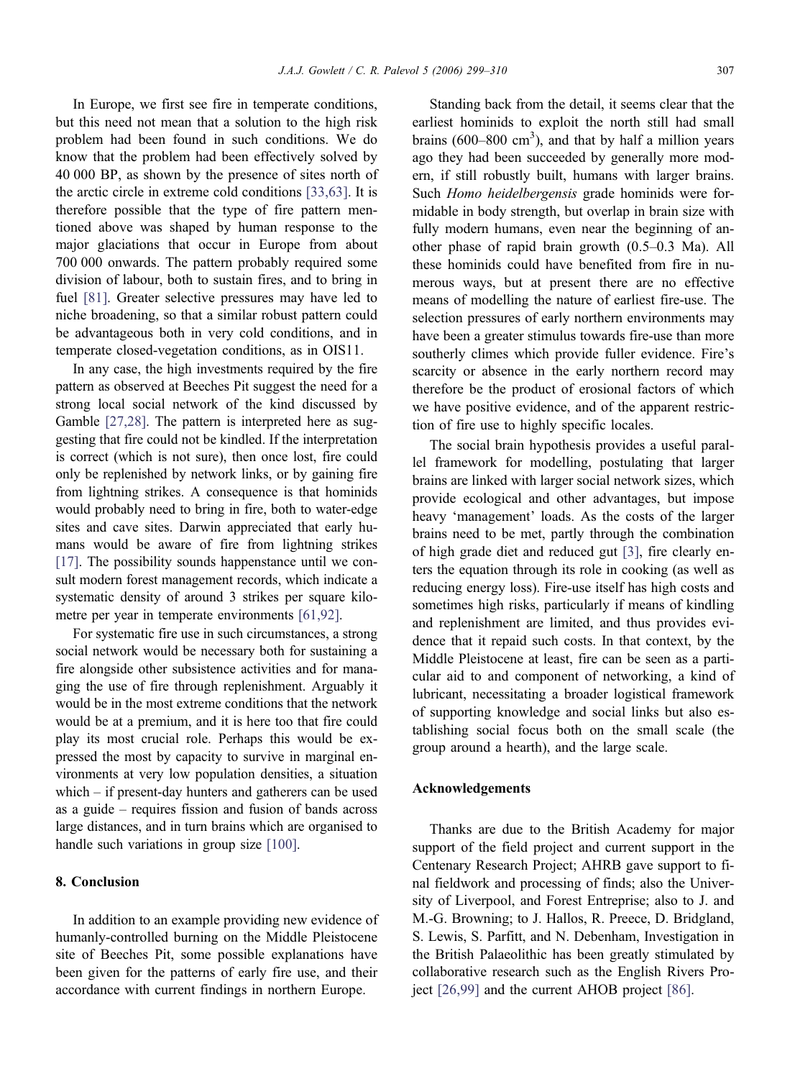In Europe, we first see fire in temperate conditions, but this need not mean that a solution to the high risk problem had been found in such conditions. We do know that the problem had been effectively solved by 40 000 BP, as shown by the presence of sites north of the arctic circle in extreme cold conditions [\[33,63\].](#page-9-0) It is therefore possible that the type of fire pattern mentioned above was shaped by human response to the major glaciations that occur in Europe from about 700 000 onwards. The pattern probably required some division of labour, both to sustain fires, and to bring in fuel [\[81\].](#page-11-0) Greater selective pressures may have led to niche broadening, so that a similar robust pattern could be advantageous both in very cold conditions, and in temperate closed-vegetation conditions, as in OIS11.

In any case, the high investments required by the fire pattern as observed at Beeches Pit suggest the need for a strong local social network of the kind discussed by Gamble [\[27,28\].](#page-9-0) The pattern is interpreted here as suggesting that fire could not be kindled. If the interpretation is correct (which is not sure), then once lost, fire could only be replenished by network links, or by gaining fire from lightning strikes. A consequence is that hominids would probably need to bring in fire, both to water-edge sites and cave sites. Darwin appreciated that early humans would be aware of fire from lightning strikes [\[17\]](#page-9-0). The possibility sounds happenstance until we consult modern forest management records, which indicate a systematic density of around 3 strikes per square kilometre per year in temperate environments [\[61,92\].](#page-10-0)

For systematic fire use in such circumstances, a strong social network would be necessary both for sustaining a fire alongside other subsistence activities and for managing the use of fire through replenishment. Arguably it would be in the most extreme conditions that the network would be at a premium, and it is here too that fire could play its most crucial role. Perhaps this would be expressed the most by capacity to survive in marginal environments at very low population densities, a situation which – if present-day hunters and gatherers can be used as a guide – requires fission and fusion of bands across large distances, and in turn brains which are organised to handle such variations in group size [\[100\].](#page-11-0)

# 8. Conclusion

In addition to an example providing new evidence of humanly-controlled burning on the Middle Pleistocene site of Beeches Pit, some possible explanations have been given for the patterns of early fire use, and their accordance with current findings in northern Europe.

Standing back from the detail, it seems clear that the earliest hominids to exploit the north still had small brains  $(600-800 \text{ cm}^3)$ , and that by half a million years ago they had been succeeded by generally more modern, if still robustly built, humans with larger brains. Such Homo heidelbergensis grade hominids were formidable in body strength, but overlap in brain size with fully modern humans, even near the beginning of another phase of rapid brain growth (0.5–0.3 Ma). All these hominids could have benefited from fire in numerous ways, but at present there are no effective means of modelling the nature of earliest fire-use. The selection pressures of early northern environments may have been a greater stimulus towards fire-use than more southerly climes which provide fuller evidence. Fire's scarcity or absence in the early northern record may therefore be the product of erosional factors of which we have positive evidence, and of the apparent restriction of fire use to highly specific locales.

The social brain hypothesis provides a useful parallel framework for modelling, postulating that larger brains are linked with larger social network sizes, which provide ecological and other advantages, but impose heavy 'management' loads. As the costs of the larger brains need to be met, partly through the combination of high grade diet and reduced gut [\[3\]](#page-9-0), fire clearly enters the equation through its role in cooking (as well as reducing energy loss). Fire-use itself has high costs and sometimes high risks, particularly if means of kindling and replenishment are limited, and thus provides evidence that it repaid such costs. In that context, by the Middle Pleistocene at least, fire can be seen as a particular aid to and component of networking, a kind of lubricant, necessitating a broader logistical framework of supporting knowledge and social links but also establishing social focus both on the small scale (the group around a hearth), and the large scale.

#### Acknowledgements

Thanks are due to the British Academy for major support of the field project and current support in the Centenary Research Project; AHRB gave support to final fieldwork and processing of finds; also the University of Liverpool, and Forest Entreprise; also to J. and M.-G. Browning; to J. Hallos, R. Preece, D. Bridgland, S. Lewis, S. Parfitt, and N. Debenham, Investigation in the British Palaeolithic has been greatly stimulated by collaborative research such as the English Rivers Project [\[26,99\]](#page-9-0) and the current AHOB project [\[86\]](#page-11-0).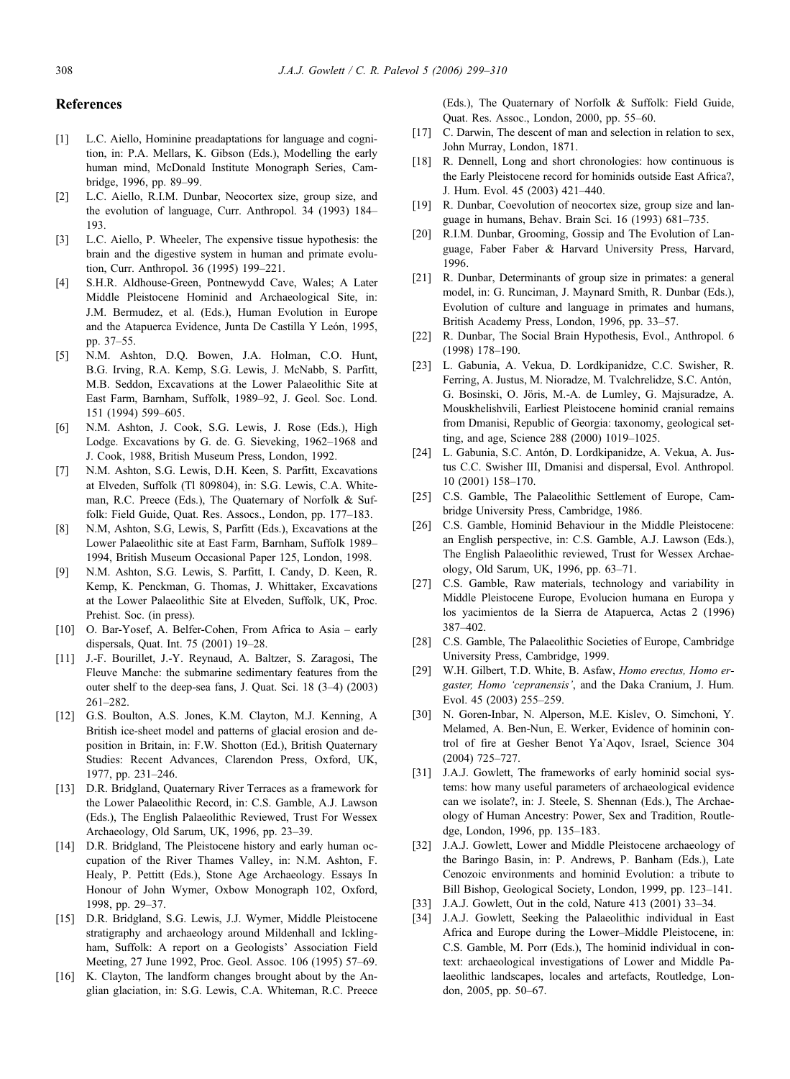# <span id="page-9-0"></span>References

- [1] L.C. Aiello, Hominine preadaptations for language and cognition, in: P.A. Mellars, K. Gibson (Eds.), Modelling the early human mind, McDonald Institute Monograph Series, Cambridge, 1996, pp. 89–99.
- [2] L.C. Aiello, R.I.M. Dunbar, Neocortex size, group size, and the evolution of language, Curr. Anthropol. 34 (1993) 184– 193.
- [3] L.C. Aiello, P. Wheeler, The expensive tissue hypothesis: the brain and the digestive system in human and primate evolution, Curr. Anthropol. 36 (1995) 199–221.
- [4] S.H.R. Aldhouse-Green, Pontnewydd Cave, Wales; A Later Middle Pleistocene Hominid and Archaeological Site, in: J.M. Bermudez, et al. (Eds.), Human Evolution in Europe and the Atapuerca Evidence, Junta De Castilla Y León, 1995, pp. 37–55.
- [5] N.M. Ashton, D.Q. Bowen, J.A. Holman, C.O. Hunt, B.G. Irving, R.A. Kemp, S.G. Lewis, J. McNabb, S. Parfitt, M.B. Seddon, Excavations at the Lower Palaeolithic Site at East Farm, Barnham, Suffolk, 1989–92, J. Geol. Soc. Lond. 151 (1994) 599–605.
- [6] N.M. Ashton, J. Cook, S.G. Lewis, J. Rose (Eds.), High Lodge. Excavations by G. de. G. Sieveking, 1962–1968 and J. Cook, 1988, British Museum Press, London, 1992.
- [7] N.M. Ashton, S.G. Lewis, D.H. Keen, S. Parfitt, Excavations at Elveden, Suffolk (Tl 809804), in: S.G. Lewis, C.A. Whiteman, R.C. Preece (Eds.), The Quaternary of Norfolk & Suffolk: Field Guide, Quat. Res. Assocs., London, pp. 177–183.
- [8] N.M, Ashton, S.G, Lewis, S, Parfitt (Eds.), Excavations at the Lower Palaeolithic site at East Farm, Barnham, Suffolk 1989– 1994, British Museum Occasional Paper 125, London, 1998.
- [9] N.M. Ashton, S.G. Lewis, S. Parfitt, I. Candy, D. Keen, R. Kemp, K. Penckman, G. Thomas, J. Whittaker, Excavations at the Lower Palaeolithic Site at Elveden, Suffolk, UK, Proc. Prehist. Soc. (in press).
- [10] O. Bar-Yosef, A. Belfer-Cohen, From Africa to Asia early dispersals, Quat. Int. 75 (2001) 19–28.
- [11] J.-F. Bourillet, J.-Y. Reynaud, A. Baltzer, S. Zaragosi, The Fleuve Manche: the submarine sedimentary features from the outer shelf to the deep-sea fans, J. Quat. Sci. 18 (3–4) (2003) 261–282.
- [12] G.S. Boulton, A.S. Jones, K.M. Clayton, M.J. Kenning, A British ice-sheet model and patterns of glacial erosion and deposition in Britain, in: F.W. Shotton (Ed.), British Quaternary Studies: Recent Advances, Clarendon Press, Oxford, UK, 1977, pp. 231–246.
- [13] D.R. Bridgland, Quaternary River Terraces as a framework for the Lower Palaeolithic Record, in: C.S. Gamble, A.J. Lawson (Eds.), The English Palaeolithic Reviewed, Trust For Wessex Archaeology, Old Sarum, UK, 1996, pp. 23–39.
- [14] D.R. Bridgland, The Pleistocene history and early human occupation of the River Thames Valley, in: N.M. Ashton, F. Healy, P. Pettitt (Eds.), Stone Age Archaeology. Essays In Honour of John Wymer, Oxbow Monograph 102, Oxford, 1998, pp. 29–37.
- [15] D.R. Bridgland, S.G. Lewis, J.J. Wymer, Middle Pleistocene stratigraphy and archaeology around Mildenhall and Icklingham, Suffolk: A report on a Geologists' Association Field Meeting, 27 June 1992, Proc. Geol. Assoc. 106 (1995) 57–69.
- [16] K. Clayton, The landform changes brought about by the Anglian glaciation, in: S.G. Lewis, C.A. Whiteman, R.C. Preece

(Eds.), The Quaternary of Norfolk & Suffolk: Field Guide, Quat. Res. Assoc., London, 2000, pp. 55–60.

- [17] C. Darwin, The descent of man and selection in relation to sex, John Murray, London, 1871.
- [18] R. Dennell, Long and short chronologies: how continuous is the Early Pleistocene record for hominids outside East Africa?, J. Hum. Evol. 45 (2003) 421–440.
- [19] R. Dunbar, Coevolution of neocortex size, group size and language in humans, Behav. Brain Sci. 16 (1993) 681–735.
- [20] R.I.M. Dunbar, Grooming, Gossip and The Evolution of Language, Faber Faber & Harvard University Press, Harvard, 1996.
- [21] R. Dunbar, Determinants of group size in primates: a general model, in: G. Runciman, J. Maynard Smith, R. Dunbar (Eds.), Evolution of culture and language in primates and humans, British Academy Press, London, 1996, pp. 33–57.
- [22] R. Dunbar, The Social Brain Hypothesis, Evol., Anthropol. 6 (1998) 178–190.
- [23] L. Gabunia, A. Vekua, D. Lordkipanidze, C.C. Swisher, R. Ferring, A. Justus, M. Nioradze, M. Tvalchrelidze, S.C. Antón, G. Bosinski, O. Jöris, M.-A. de Lumley, G. Majsuradze, A. Mouskhelishvili, Earliest Pleistocene hominid cranial remains from Dmanisi, Republic of Georgia: taxonomy, geological setting, and age, Science 288 (2000) 1019–1025.
- [24] L. Gabunia, S.C. Antón, D. Lordkipanidze, A. Vekua, A. Justus C.C. Swisher III, Dmanisi and dispersal, Evol. Anthropol. 10 (2001) 158–170.
- [25] C.S. Gamble, The Palaeolithic Settlement of Europe, Cambridge University Press, Cambridge, 1986.
- [26] C.S. Gamble, Hominid Behaviour in the Middle Pleistocene: an English perspective, in: C.S. Gamble, A.J. Lawson (Eds.), The English Palaeolithic reviewed, Trust for Wessex Archaeology, Old Sarum, UK, 1996, pp. 63–71.
- [27] C.S. Gamble, Raw materials, technology and variability in Middle Pleistocene Europe, Evolucion humana en Europa y los yacimientos de la Sierra de Atapuerca, Actas 2 (1996) 387–402.
- [28] C.S. Gamble, The Palaeolithic Societies of Europe, Cambridge University Press, Cambridge, 1999.
- [29] W.H. Gilbert, T.D. White, B. Asfaw, Homo erectus, Homo ergaster, Homo 'cepranensis', and the Daka Cranium, J. Hum. Evol. 45 (2003) 255–259.
- [30] N. Goren-Inbar, N. Alperson, M.E. Kislev, O. Simchoni, Y. Melamed, A. Ben-Nun, E. Werker, Evidence of hominin control of fire at Gesher Benot Ya`Aqov, Israel, Science 304 (2004) 725–727.
- [31] J.A.J. Gowlett, The frameworks of early hominid social systems: how many useful parameters of archaeological evidence can we isolate?, in: J. Steele, S. Shennan (Eds.), The Archaeology of Human Ancestry: Power, Sex and Tradition, Routledge, London, 1996, pp. 135–183.
- [32] J.A.J. Gowlett, Lower and Middle Pleistocene archaeology of the Baringo Basin, in: P. Andrews, P. Banham (Eds.), Late Cenozoic environments and hominid Evolution: a tribute to Bill Bishop, Geological Society, London, 1999, pp. 123–141.
- [33] J.A.J. Gowlett, Out in the cold, Nature 413 (2001) 33–34.
- [34] J.A.J. Gowlett, Seeking the Palaeolithic individual in East Africa and Europe during the Lower–Middle Pleistocene, in: C.S. Gamble, M. Porr (Eds.), The hominid individual in context: archaeological investigations of Lower and Middle Palaeolithic landscapes, locales and artefacts, Routledge, London, 2005, pp. 50–67.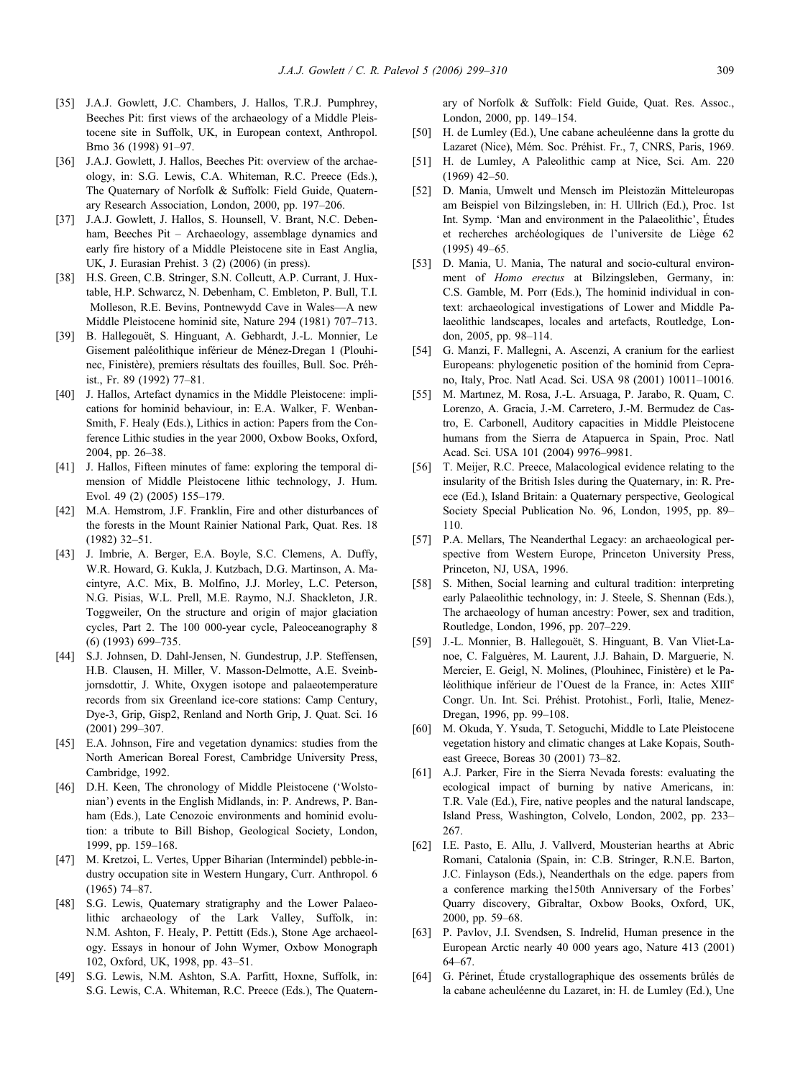- <span id="page-10-0"></span>[35] J.A.J. Gowlett, J.C. Chambers, J. Hallos, T.R.J. Pumphrey, Beeches Pit: first views of the archaeology of a Middle Pleistocene site in Suffolk, UK, in European context, Anthropol. Brno 36 (1998) 91–97.
- [36] J.A.J. Gowlett, J. Hallos, Beeches Pit: overview of the archaeology, in: S.G. Lewis, C.A. Whiteman, R.C. Preece (Eds.), The Quaternary of Norfolk & Suffolk: Field Guide, Quaternary Research Association, London, 2000, pp. 197–206.
- [37] J.A.J. Gowlett, J. Hallos, S. Hounsell, V. Brant, N.C. Debenham, Beeches Pit – Archaeology, assemblage dynamics and early fire history of a Middle Pleistocene site in East Anglia, UK, J. Eurasian Prehist. 3 (2) (2006) (in press).
- [38] H.S. Green, C.B. Stringer, S.N. Collcutt, A.P. Currant, J. Huxtable, H.P. Schwarcz, N. Debenham, C. Embleton, P. Bull, T.I. Molleson, R.E. Bevins, Pontnewydd Cave in Wales—A new Middle Pleistocene hominid site, Nature 294 (1981) 707–713.
- [39] B. Hallegouët, S. Hinguant, A. Gebhardt, J.-L. Monnier, Le Gisement paléolithique inférieur de Ménez-Dregan 1 (Plouhinec, Finistère), premiers résultats des fouilles, Bull. Soc. Préhist., Fr. 89 (1992) 77–81.
- [40] J. Hallos, Artefact dynamics in the Middle Pleistocene: implications for hominid behaviour, in: E.A. Walker, F. Wenban-Smith, F. Healy (Eds.), Lithics in action: Papers from the Conference Lithic studies in the year 2000, Oxbow Books, Oxford, 2004, pp. 26–38.
- [41] J. Hallos, Fifteen minutes of fame: exploring the temporal dimension of Middle Pleistocene lithic technology, J. Hum. Evol. 49 (2) (2005) 155–179.
- [42] M.A. Hemstrom, J.F. Franklin, Fire and other disturbances of the forests in the Mount Rainier National Park, Quat. Res. 18 (1982) 32–51.
- [43] J. Imbrie, A. Berger, E.A. Boyle, S.C. Clemens, A. Duffy, W.R. Howard, G. Kukla, J. Kutzbach, D.G. Martinson, A. Macintyre, A.C. Mix, B. Molfino, J.J. Morley, L.C. Peterson, N.G. Pisias, W.L. Prell, M.E. Raymo, N.J. Shackleton, J.R. Toggweiler, On the structure and origin of major glaciation cycles, Part 2. The 100 000-year cycle, Paleoceanography 8 (6) (1993) 699–735.
- [44] S.J. Johnsen, D. Dahl-Jensen, N. Gundestrup, J.P. Steffensen, H.B. Clausen, H. Miller, V. Masson-Delmotte, A.E. Sveinbjornsdottir, J. White, Oxygen isotope and palaeotemperature records from six Greenland ice-core stations: Camp Century, Dye-3, Grip, Gisp2, Renland and North Grip, J. Quat. Sci. 16 (2001) 299–307.
- [45] E.A. Johnson, Fire and vegetation dynamics: studies from the North American Boreal Forest, Cambridge University Press, Cambridge, 1992.
- [46] D.H. Keen, The chronology of Middle Pleistocene ('Wolstonian') events in the English Midlands, in: P. Andrews, P. Banham (Eds.), Late Cenozoic environments and hominid evolution: a tribute to Bill Bishop, Geological Society, London, 1999, pp. 159–168.
- [47] M. Kretzoi, L. Vertes, Upper Biharian (Intermindel) pebble-industry occupation site in Western Hungary, Curr. Anthropol. 6 (1965) 74–87.
- [48] S.G. Lewis, Quaternary stratigraphy and the Lower Palaeolithic archaeology of the Lark Valley, Suffolk, in: N.M. Ashton, F. Healy, P. Pettitt (Eds.), Stone Age archaeology. Essays in honour of John Wymer, Oxbow Monograph 102, Oxford, UK, 1998, pp. 43–51.
- [49] S.G. Lewis, N.M. Ashton, S.A. Parfitt, Hoxne, Suffolk, in: S.G. Lewis, C.A. Whiteman, R.C. Preece (Eds.), The Quatern-

ary of Norfolk & Suffolk: Field Guide, Quat. Res. Assoc., London, 2000, pp. 149–154.

- [50] H. de Lumley (Ed.), Une cabane acheuléenne dans la grotte du Lazaret (Nice), Mém. Soc. Préhist. Fr., 7, CNRS, Paris, 1969.
- [51] H. de Lumley, A Paleolithic camp at Nice, Sci. Am. 220 (1969) 42–50.
- [52] D. Mania, Umwelt und Mensch im Pleistozän Mitteleuropas am Beispiel von Bilzingsleben, in: H. Ullrich (Ed.), Proc. 1st Int. Symp. 'Man and environment in the Palaeolithic', Études et recherches archéologiques de l'universite de Liège 62 (1995) 49–65.
- [53] D. Mania, U. Mania, The natural and socio-cultural environment of Homo erectus at Bilzingsleben, Germany, in: C.S. Gamble, M. Porr (Eds.), The hominid individual in context: archaeological investigations of Lower and Middle Palaeolithic landscapes, locales and artefacts, Routledge, London, 2005, pp. 98–114.
- [54] G. Manzi, F. Mallegni, A. Ascenzi, A cranium for the earliest Europeans: phylogenetic position of the hominid from Ceprano, Italy, Proc. Natl Acad. Sci. USA 98 (2001) 10011–10016.
- [55] M. Mart*ı*nez, M. Rosa, J.-L. Arsuaga, P. Jarabo, R. Quam, C. Lorenzo, A. Gracia, J.-M. Carretero, J.-M. Bermudez de Castro, E. Carbonell, Auditory capacities in Middle Pleistocene humans from the Sierra de Atapuerca in Spain, Proc. Natl Acad. Sci. USA 101 (2004) 9976–9981.
- [56] T. Meijer, R.C. Preece, Malacological evidence relating to the insularity of the British Isles during the Quaternary, in: R. Preece (Ed.), Island Britain: a Quaternary perspective, Geological Society Special Publication No. 96, London, 1995, pp. 89– 110.
- [57] P.A. Mellars, The Neanderthal Legacy: an archaeological perspective from Western Europe, Princeton University Press, Princeton, NJ, USA, 1996.
- [58] S. Mithen, Social learning and cultural tradition: interpreting early Palaeolithic technology, in: J. Steele, S. Shennan (Eds.), The archaeology of human ancestry: Power, sex and tradition, Routledge, London, 1996, pp. 207–229.
- [59] J.-L. Monnier, B. Hallegouët, S. Hinguant, B. Van Vliet-Lanoe, C. Falguères, M. Laurent, J.J. Bahain, D. Marguerie, N. Mercier, E. Geigl, N. Molines, (Plouhinec, Finistère) et le Paléolithique inférieur de l'Ouest de la France, in: Actes XIII<sup>e</sup> Congr. Un. Int. Sci. Préhist. Protohist., Forlì, Italie, Menez-Dregan, 1996, pp. 99–108.
- [60] M. Okuda, Y. Ysuda, T. Setoguchi, Middle to Late Pleistocene vegetation history and climatic changes at Lake Kopais, Southeast Greece, Boreas 30 (2001) 73–82.
- [61] A.J. Parker, Fire in the Sierra Nevada forests: evaluating the ecological impact of burning by native Americans, in: T.R. Vale (Ed.), Fire, native peoples and the natural landscape, Island Press, Washington, Colvelo, London, 2002, pp. 233– 267.
- [62] I.E. Pasto, E. Allu, J. Vallverd, Mousterian hearths at Abric Romani, Catalonia (Spain, in: C.B. Stringer, R.N.E. Barton, J.C. Finlayson (Eds.), Neanderthals on the edge. papers from a conference marking the150th Anniversary of the Forbes' Quarry discovery, Gibraltar, Oxbow Books, Oxford, UK, 2000, pp. 59–68.
- [63] P. Pavlov, J.I. Svendsen, S. Indrelid, Human presence in the European Arctic nearly 40 000 years ago, Nature 413 (2001) 64–67.
- [64] G. Périnet, Étude crystallographique des ossements brûlés de la cabane acheuléenne du Lazaret, in: H. de Lumley (Ed.), Une